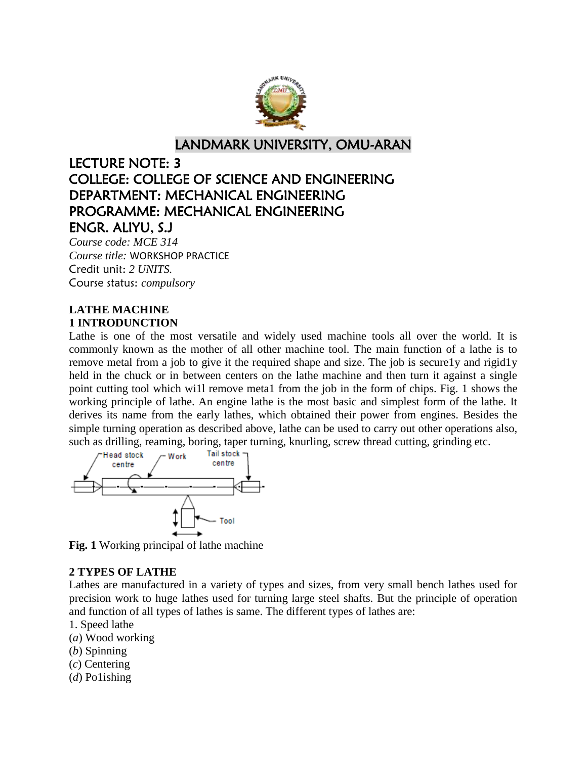

LANDMARK UNIVERSITY, OMU-ARAN

# LECTURE NOTE: 3 COLLEGE: COLLEGE OF SCIENCE AND ENGINEERING DEPARTMENT: MECHANICAL ENGINEERING PROGRAMME: MECHANICAL ENGINEERING ENGR. ALIYU, S.J

*Course code: MCE 314 Course title:* WORKSHOP PRACTICE Credit unit: *2 UNITS.* Course status: *compulsory*

### **LATHE MACHINE 1 INTRODUNCTION**

Lathe is one of the most versatile and widely used machine tools all over the world. It is commonly known as the mother of all other machine tool. The main function of a lathe is to remove metal from a job to give it the required shape and size. The job is secure1y and rigid1y held in the chuck or in between centers on the lathe machine and then turn it against a single point cutting tool which wi1l remove meta1 from the job in the form of chips. Fig. 1 shows the working principle of lathe. An engine lathe is the most basic and simplest form of the lathe. It derives its name from the early lathes, which obtained their power from engines. Besides the simple turning operation as described above, lathe can be used to carry out other operations also, such as drilling, reaming, boring, taper turning, knurling, screw thread cutting, grinding etc.



**Fig. 1** Working principal of lathe machine

# **2 TYPES OF LATHE**

Lathes are manufactured in a variety of types and sizes, from very small bench lathes used for precision work to huge lathes used for turning large steel shafts. But the principle of operation and function of all types of lathes is same. The different types of lathes are:

- 1. Speed lathe
- (*a*) Wood working
- (*b*) Spinning
- (*c*) Centering
- (*d*) Po1ishing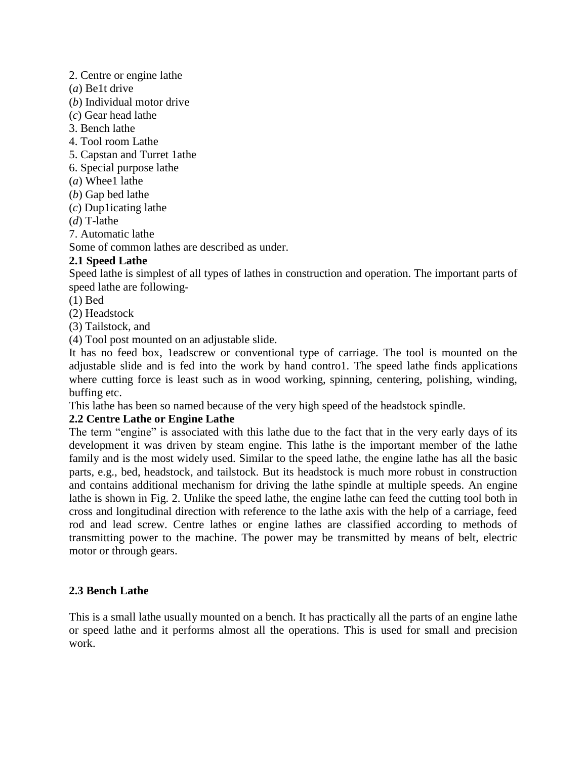2. Centre or engine lathe

(*a*) Be1t drive

(*b*) Individual motor drive

- (*c*) Gear head lathe
- 3. Bench lathe
- 4. Tool room Lathe
- 5. Capstan and Turret 1athe
- 6. Special purpose lathe
- (*a*) Whee1 lathe
- (*b*) Gap bed lathe
- (*c*) Dup1icating lathe

(*d*) T-lathe

7. Automatic lathe

Some of common lathes are described as under.

#### **2.1 Speed Lathe**

Speed lathe is simplest of all types of lathes in construction and operation. The important parts of speed lathe are following-

(1) Bed

(2) Headstock

(3) Tailstock, and

(4) Tool post mounted on an adjustable slide.

It has no feed box, 1eadscrew or conventional type of carriage. The tool is mounted on the adjustable slide and is fed into the work by hand contro1. The speed lathe finds applications where cutting force is least such as in wood working, spinning, centering, polishing, winding, buffing etc.

This lathe has been so named because of the very high speed of the headstock spindle.

#### **2.2 Centre Lathe or Engine Lathe**

The term "engine" is associated with this lathe due to the fact that in the very early days of its development it was driven by steam engine. This lathe is the important member of the lathe family and is the most widely used. Similar to the speed lathe, the engine lathe has all the basic parts, e.g., bed, headstock, and tailstock. But its headstock is much more robust in construction and contains additional mechanism for driving the lathe spindle at multiple speeds. An engine lathe is shown in Fig. 2. Unlike the speed lathe, the engine lathe can feed the cutting tool both in cross and longitudinal direction with reference to the lathe axis with the help of a carriage, feed rod and lead screw. Centre lathes or engine lathes are classified according to methods of transmitting power to the machine. The power may be transmitted by means of belt, electric motor or through gears.

#### **2.3 Bench Lathe**

This is a small lathe usually mounted on a bench. It has practically all the parts of an engine lathe or speed lathe and it performs almost all the operations. This is used for small and precision work.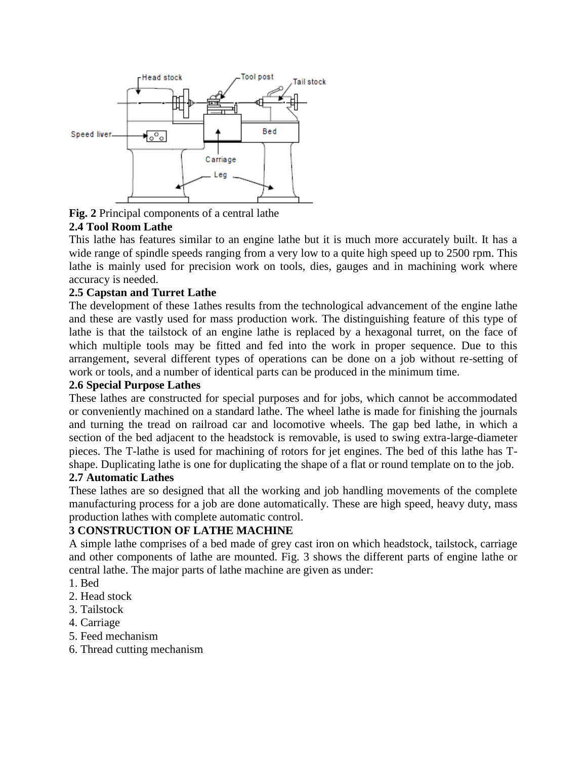

**Fig. 2** Principal components of a central lathe

# **2.4 Tool Room Lathe**

This lathe has features similar to an engine lathe but it is much more accurately built. It has a wide range of spindle speeds ranging from a very low to a quite high speed up to 2500 rpm. This lathe is mainly used for precision work on tools, dies, gauges and in machining work where accuracy is needed.

### **2.5 Capstan and Turret Lathe**

The development of these 1athes results from the technological advancement of the engine lathe and these are vastly used for mass production work. The distinguishing feature of this type of lathe is that the tailstock of an engine lathe is replaced by a hexagonal turret, on the face of which multiple tools may be fitted and fed into the work in proper sequence. Due to this arrangement, several different types of operations can be done on a job without re-setting of work or tools, and a number of identical parts can be produced in the minimum time.

#### **2.6 Special Purpose Lathes**

These lathes are constructed for special purposes and for jobs, which cannot be accommodated or conveniently machined on a standard lathe. The wheel lathe is made for finishing the journals and turning the tread on railroad car and locomotive wheels. The gap bed lathe, in which a section of the bed adjacent to the headstock is removable, is used to swing extra-large-diameter pieces. The T-lathe is used for machining of rotors for jet engines. The bed of this lathe has Tshape. Duplicating lathe is one for duplicating the shape of a flat or round template on to the job.

#### **2.7 Automatic Lathes**

These lathes are so designed that all the working and job handling movements of the complete manufacturing process for a job are done automatically. These are high speed, heavy duty, mass production lathes with complete automatic control.

# **3 CONSTRUCTION OF LATHE MACHINE**

A simple lathe comprises of a bed made of grey cast iron on which headstock, tailstock, carriage and other components of lathe are mounted. Fig. 3 shows the different parts of engine lathe or central lathe. The major parts of lathe machine are given as under:

- 1. Bed
- 2. Head stock
- 3. Tailstock
- 4. Carriage
- 5. Feed mechanism
- 6. Thread cutting mechanism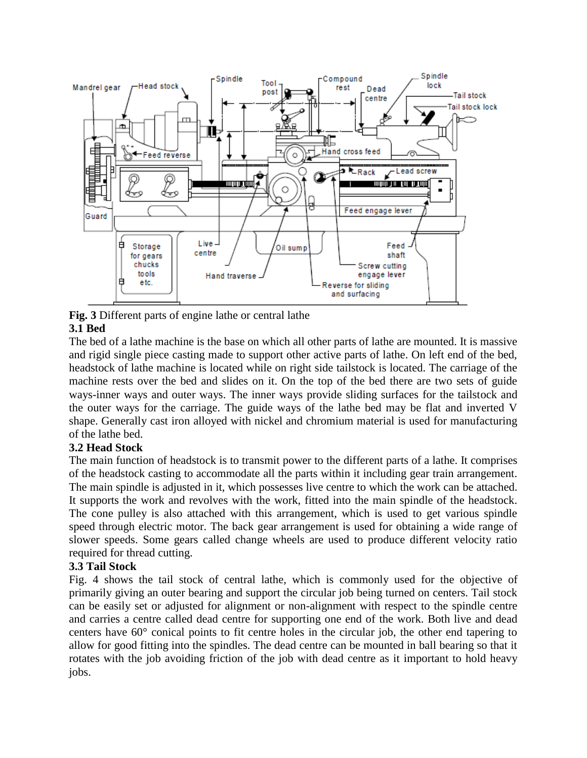

**Fig. 3** Different parts of engine lathe or central lathe **3.1 Bed**

The bed of a lathe machine is the base on which all other parts of lathe are mounted. It is massive and rigid single piece casting made to support other active parts of lathe. On left end of the bed, headstock of lathe machine is located while on right side tailstock is located. The carriage of the machine rests over the bed and slides on it. On the top of the bed there are two sets of guide ways-inner ways and outer ways. The inner ways provide sliding surfaces for the tailstock and the outer ways for the carriage. The guide ways of the lathe bed may be flat and inverted V shape. Generally cast iron alloyed with nickel and chromium material is used for manufacturing of the lathe bed.

# **3.2 Head Stock**

The main function of headstock is to transmit power to the different parts of a lathe. It comprises of the headstock casting to accommodate all the parts within it including gear train arrangement. The main spindle is adjusted in it, which possesses live centre to which the work can be attached. It supports the work and revolves with the work, fitted into the main spindle of the headstock. The cone pulley is also attached with this arrangement, which is used to get various spindle speed through electric motor. The back gear arrangement is used for obtaining a wide range of slower speeds. Some gears called change wheels are used to produce different velocity ratio required for thread cutting.

# **3.3 Tail Stock**

Fig. 4 shows the tail stock of central lathe, which is commonly used for the objective of primarily giving an outer bearing and support the circular job being turned on centers. Tail stock can be easily set or adjusted for alignment or non-alignment with respect to the spindle centre and carries a centre called dead centre for supporting one end of the work. Both live and dead centers have 60° conical points to fit centre holes in the circular job, the other end tapering to allow for good fitting into the spindles. The dead centre can be mounted in ball bearing so that it rotates with the job avoiding friction of the job with dead centre as it important to hold heavy jobs.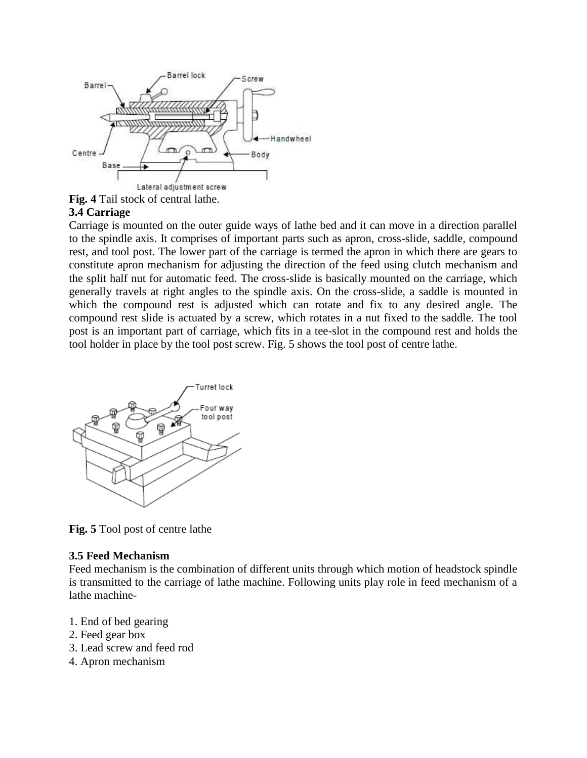

**Fig. 4** Tail stock of central lathe. **3.4 Carriage**

Carriage is mounted on the outer guide ways of lathe bed and it can move in a direction parallel to the spindle axis. It comprises of important parts such as apron, cross-slide, saddle, compound rest, and tool post. The lower part of the carriage is termed the apron in which there are gears to constitute apron mechanism for adjusting the direction of the feed using clutch mechanism and the split half nut for automatic feed. The cross-slide is basically mounted on the carriage, which generally travels at right angles to the spindle axis. On the cross-slide, a saddle is mounted in which the compound rest is adjusted which can rotate and fix to any desired angle. The compound rest slide is actuated by a screw, which rotates in a nut fixed to the saddle. The tool post is an important part of carriage, which fits in a tee-slot in the compound rest and holds the tool holder in place by the tool post screw. Fig. 5 shows the tool post of centre lathe.



**Fig. 5** Tool post of centre lathe

#### **3.5 Feed Mechanism**

Feed mechanism is the combination of different units through which motion of headstock spindle is transmitted to the carriage of lathe machine. Following units play role in feed mechanism of a lathe machine-

- 1. End of bed gearing
- 2. Feed gear box
- 3. Lead screw and feed rod
- 4. Apron mechanism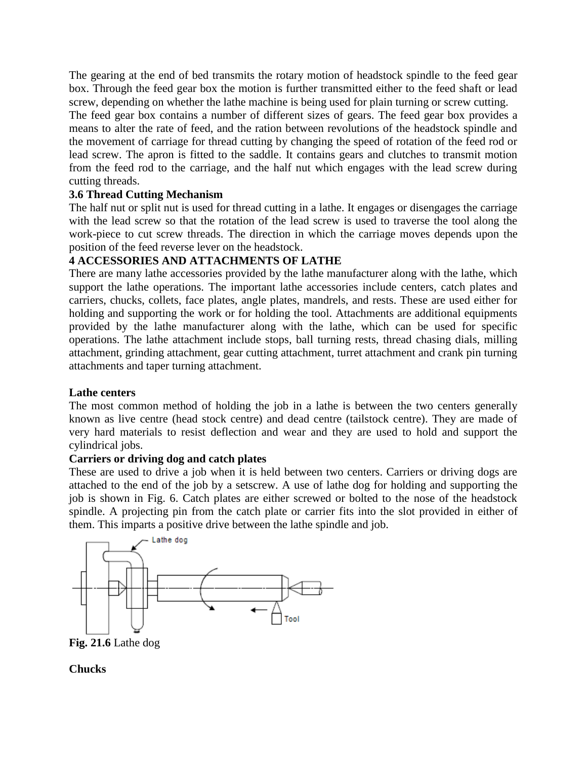The gearing at the end of bed transmits the rotary motion of headstock spindle to the feed gear box. Through the feed gear box the motion is further transmitted either to the feed shaft or lead screw, depending on whether the lathe machine is being used for plain turning or screw cutting.

The feed gear box contains a number of different sizes of gears. The feed gear box provides a means to alter the rate of feed, and the ration between revolutions of the headstock spindle and the movement of carriage for thread cutting by changing the speed of rotation of the feed rod or lead screw. The apron is fitted to the saddle. It contains gears and clutches to transmit motion from the feed rod to the carriage, and the half nut which engages with the lead screw during cutting threads.

#### **3.6 Thread Cutting Mechanism**

The half nut or split nut is used for thread cutting in a lathe. It engages or disengages the carriage with the lead screw so that the rotation of the lead screw is used to traverse the tool along the work-piece to cut screw threads. The direction in which the carriage moves depends upon the position of the feed reverse lever on the headstock.

### **4 ACCESSORIES AND ATTACHMENTS OF LATHE**

There are many lathe accessories provided by the lathe manufacturer along with the lathe, which support the lathe operations. The important lathe accessories include centers, catch plates and carriers, chucks, collets, face plates, angle plates, mandrels, and rests. These are used either for holding and supporting the work or for holding the tool. Attachments are additional equipments provided by the lathe manufacturer along with the lathe, which can be used for specific operations. The lathe attachment include stops, ball turning rests, thread chasing dials, milling attachment, grinding attachment, gear cutting attachment, turret attachment and crank pin turning attachments and taper turning attachment.

#### **Lathe centers**

The most common method of holding the job in a lathe is between the two centers generally known as live centre (head stock centre) and dead centre (tailstock centre). They are made of very hard materials to resist deflection and wear and they are used to hold and support the cylindrical jobs.

#### **Carriers or driving dog and catch plates**

These are used to drive a job when it is held between two centers. Carriers or driving dogs are attached to the end of the job by a setscrew. A use of lathe dog for holding and supporting the job is shown in Fig. 6. Catch plates are either screwed or bolted to the nose of the headstock spindle. A projecting pin from the catch plate or carrier fits into the slot provided in either of them. This imparts a positive drive between the lathe spindle and job.



**Fig. 21.6** Lathe dog

# **Chucks**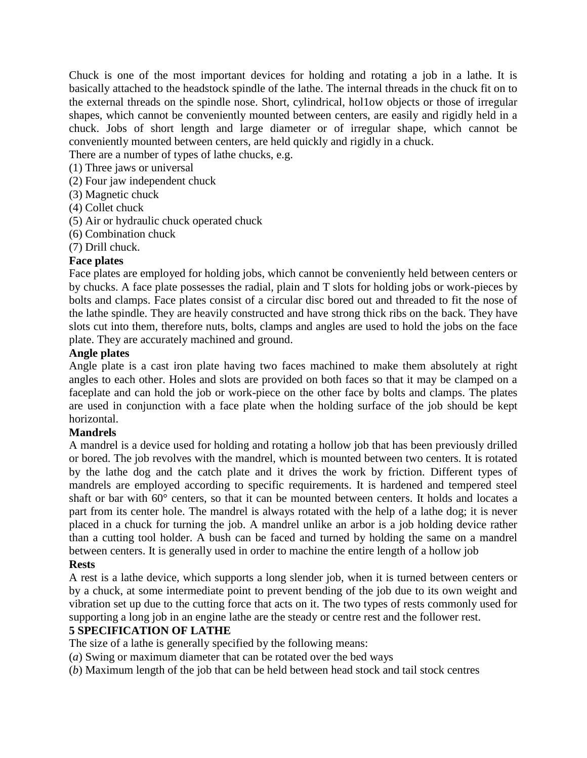Chuck is one of the most important devices for holding and rotating a job in a lathe. It is basically attached to the headstock spindle of the lathe. The internal threads in the chuck fit on to the external threads on the spindle nose. Short, cylindrical, hol1ow objects or those of irregular shapes, which cannot be conveniently mounted between centers, are easily and rigidly held in a chuck. Jobs of short length and large diameter or of irregular shape, which cannot be conveniently mounted between centers, are held quickly and rigidly in a chuck.

There are a number of types of lathe chucks, e.g.

(1) Three jaws or universal

(2) Four jaw independent chuck

- (3) Magnetic chuck
- (4) Collet chuck
- (5) Air or hydraulic chuck operated chuck
- (6) Combination chuck
- (7) Drill chuck.

### **Face plates**

Face plates are employed for holding jobs, which cannot be conveniently held between centers or by chucks. A face plate possesses the radial, plain and T slots for holding jobs or work-pieces by bolts and clamps. Face plates consist of a circular disc bored out and threaded to fit the nose of the lathe spindle. They are heavily constructed and have strong thick ribs on the back. They have slots cut into them, therefore nuts, bolts, clamps and angles are used to hold the jobs on the face plate. They are accurately machined and ground.

#### **Angle plates**

Angle plate is a cast iron plate having two faces machined to make them absolutely at right angles to each other. Holes and slots are provided on both faces so that it may be clamped on a faceplate and can hold the job or work-piece on the other face by bolts and clamps. The plates are used in conjunction with a face plate when the holding surface of the job should be kept horizontal.

#### **Mandrels**

A mandrel is a device used for holding and rotating a hollow job that has been previously drilled or bored. The job revolves with the mandrel, which is mounted between two centers. It is rotated by the lathe dog and the catch plate and it drives the work by friction. Different types of mandrels are employed according to specific requirements. It is hardened and tempered steel shaft or bar with 60° centers, so that it can be mounted between centers. It holds and locates a part from its center hole. The mandrel is always rotated with the help of a lathe dog; it is never placed in a chuck for turning the job. A mandrel unlike an arbor is a job holding device rather than a cutting tool holder. A bush can be faced and turned by holding the same on a mandrel between centers. It is generally used in order to machine the entire length of a hollow job

# **Rests**

A rest is a lathe device, which supports a long slender job, when it is turned between centers or by a chuck, at some intermediate point to prevent bending of the job due to its own weight and vibration set up due to the cutting force that acts on it. The two types of rests commonly used for supporting a long job in an engine lathe are the steady or centre rest and the follower rest.

#### **5 SPECIFICATION OF LATHE**

The size of a lathe is generally specified by the following means:

(*a*) Swing or maximum diameter that can be rotated over the bed ways

(*b*) Maximum length of the job that can be held between head stock and tail stock centres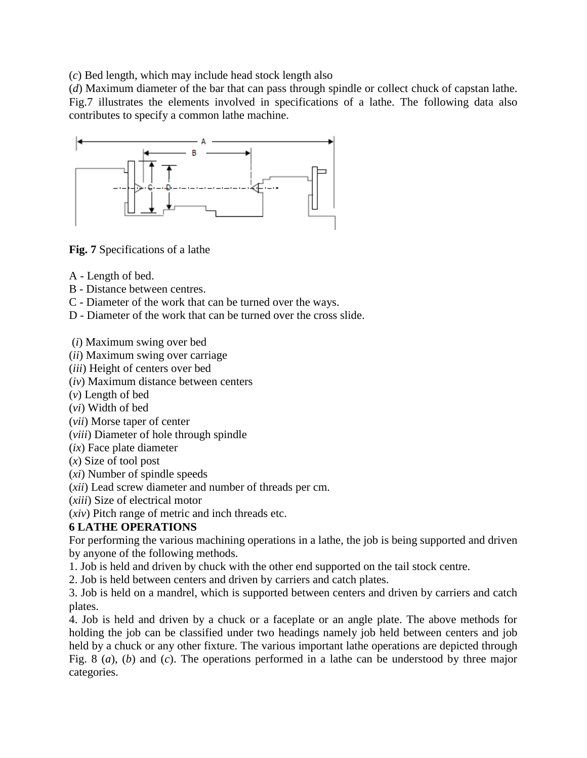(*c*) Bed length, which may include head stock length also

(*d*) Maximum diameter of the bar that can pass through spindle or collect chuck of capstan lathe. Fig.7 illustrates the elements involved in specifications of a lathe. The following data also contributes to specify a common lathe machine.



**Fig. 7** Specifications of a lathe

- A Length of bed.
- B Distance between centres.
- C Diameter of the work that can be turned over the ways.
- D Diameter of the work that can be turned over the cross slide.
- (*i*) Maximum swing over bed
- (*ii*) Maximum swing over carriage
- (*iii*) Height of centers over bed
- (*iv*) Maximum distance between centers
- (*v*) Length of bed
- (*vi*) Width of bed
- (*vii*) Morse taper of center
- (*viii*) Diameter of hole through spindle
- (*ix*) Face plate diameter
- (*x*) Size of tool post
- (*xi*) Number of spindle speeds
- (*xii*) Lead screw diameter and number of threads per cm.
- (*xiii*) Size of electrical motor
- (*xiv*) Pitch range of metric and inch threads etc.

# **6 LATHE OPERATIONS**

For performing the various machining operations in a lathe, the job is being supported and driven by anyone of the following methods.

- 1. Job is held and driven by chuck with the other end supported on the tail stock centre.
- 2. Job is held between centers and driven by carriers and catch plates.
- 3. Job is held on a mandrel, which is supported between centers and driven by carriers and catch plates.

4. Job is held and driven by a chuck or a faceplate or an angle plate. The above methods for holding the job can be classified under two headings namely job held between centers and job held by a chuck or any other fixture. The various important lathe operations are depicted through Fig. 8 (*a*), (*b*) and (*c*). The operations performed in a lathe can be understood by three major categories.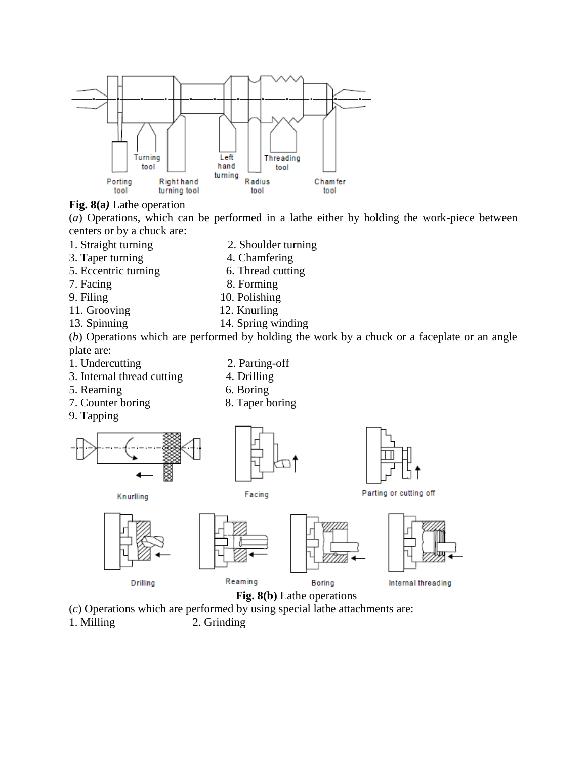



(*a*) Operations, which can be performed in a lathe either by holding the work-piece between centers or by a chuck are:

- 1. Straight turning 2. Shoulder turning
- 3. Taper turning 4. Chamfering
- 5. Eccentric turning 6. Thread cutting
- 7. Facing 8. Forming
- 9. Filing 10. Polishing
- 11. Grooving 12. Knurling
- 
- 13. Spinning 14. Spring winding

(*b*) Operations which are performed by holding the work by a chuck or a faceplate or an angle plate are:

- 1. Undercutting 2. Parting-off
- 3. Internal thread cutting 4. Drilling
- 5. Reaming 6. Boring
- 
- 7. Counter boring 8. Taper boring
- 9. Tapping







Knurlling











 **Fig. 8(b)** Lathe operations

- (*c*) Operations which are performed by using special lathe attachments are:
- 1. Milling 2. Grinding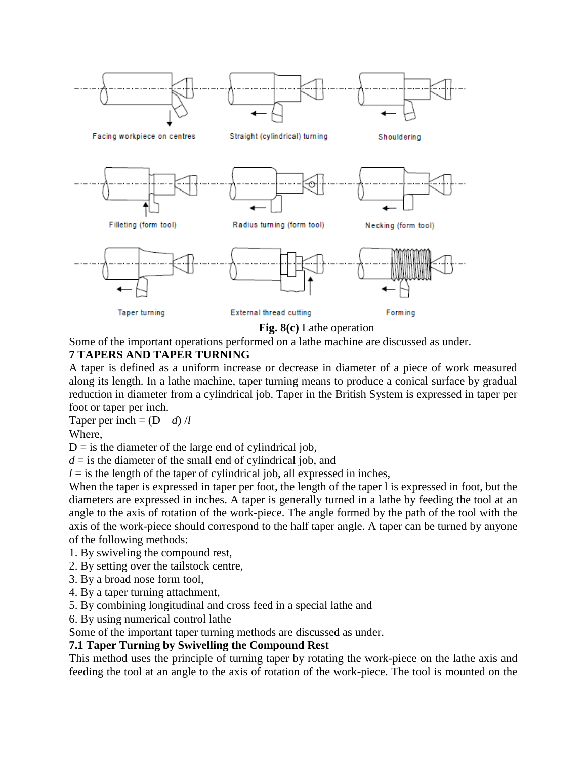

 **Fig. 8(c)** Lathe operation

Some of the important operations performed on a lathe machine are discussed as under.

#### **7 TAPERS AND TAPER TURNING**

A taper is defined as a uniform increase or decrease in diameter of a piece of work measured along its length. In a lathe machine, taper turning means to produce a conical surface by gradual reduction in diameter from a cylindrical job. Taper in the British System is expressed in taper per foot or taper per inch.

Taper per inch =  $(D - d)$  /*l* Where,

 $D = i$  s the diameter of the large end of cylindrical job,

 $d =$  is the diameter of the small end of cylindrical job, and

 $l =$  is the length of the taper of cylindrical job, all expressed in inches,

When the taper is expressed in taper per foot, the length of the taper l is expressed in foot, but the diameters are expressed in inches. A taper is generally turned in a lathe by feeding the tool at an angle to the axis of rotation of the work-piece. The angle formed by the path of the tool with the axis of the work-piece should correspond to the half taper angle. A taper can be turned by anyone of the following methods:

1. By swiveling the compound rest,

- 2. By setting over the tailstock centre,
- 3. By a broad nose form tool,
- 4. By a taper turning attachment,
- 5. By combining longitudinal and cross feed in a special lathe and
- 6. By using numerical control lathe

Some of the important taper turning methods are discussed as under.

#### **7.1 Taper Turning by Swivelling the Compound Rest**

This method uses the principle of turning taper by rotating the work-piece on the lathe axis and feeding the tool at an angle to the axis of rotation of the work-piece. The tool is mounted on the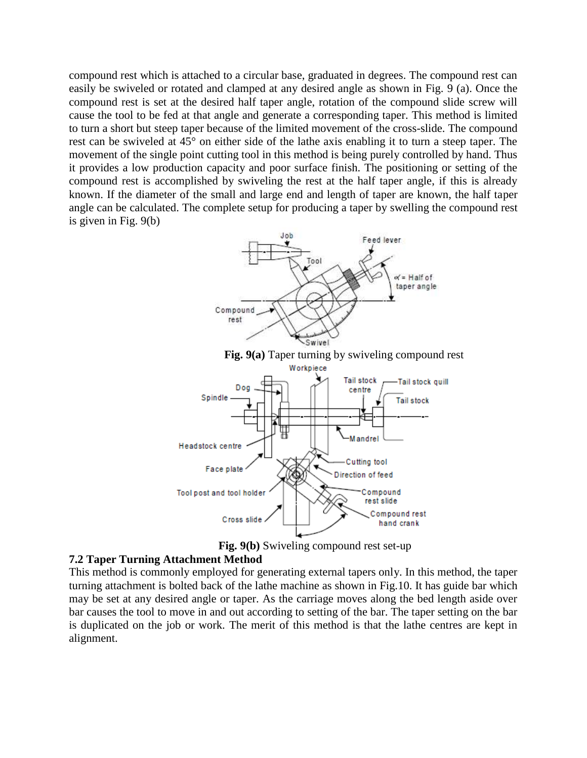compound rest which is attached to a circular base, graduated in degrees. The compound rest can easily be swiveled or rotated and clamped at any desired angle as shown in Fig. 9 (a). Once the compound rest is set at the desired half taper angle, rotation of the compound slide screw will cause the tool to be fed at that angle and generate a corresponding taper. This method is limited to turn a short but steep taper because of the limited movement of the cross-slide. The compound rest can be swiveled at 45° on either side of the lathe axis enabling it to turn a steep taper. The movement of the single point cutting tool in this method is being purely controlled by hand. Thus it provides a low production capacity and poor surface finish. The positioning or setting of the compound rest is accomplished by swiveling the rest at the half taper angle, if this is already known. If the diameter of the small and large end and length of taper are known, the half taper angle can be calculated. The complete setup for producing a taper by swelling the compound rest is given in Fig. 9(b)





#### **7.2 Taper Turning Attachment Method**

This method is commonly employed for generating external tapers only. In this method, the taper turning attachment is bolted back of the lathe machine as shown in Fig.10. It has guide bar which may be set at any desired angle or taper. As the carriage moves along the bed length aside over bar causes the tool to move in and out according to setting of the bar. The taper setting on the bar is duplicated on the job or work. The merit of this method is that the lathe centres are kept in alignment.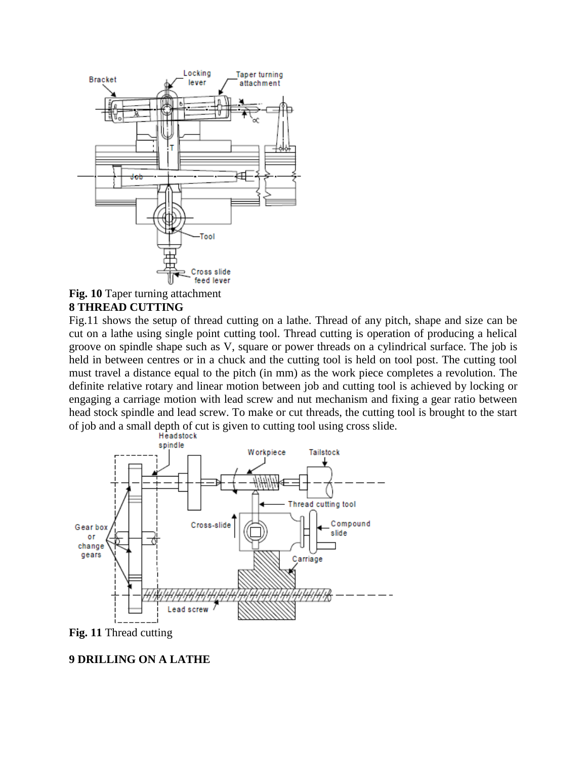



Fig.11 shows the setup of thread cutting on a lathe. Thread of any pitch, shape and size can be cut on a lathe using single point cutting tool. Thread cutting is operation of producing a helical groove on spindle shape such as V, square or power threads on a cylindrical surface. The job is held in between centres or in a chuck and the cutting tool is held on tool post. The cutting tool must travel a distance equal to the pitch (in mm) as the work piece completes a revolution. The definite relative rotary and linear motion between job and cutting tool is achieved by locking or engaging a carriage motion with lead screw and nut mechanism and fixing a gear ratio between head stock spindle and lead screw. To make or cut threads, the cutting tool is brought to the start of job and a small depth of cut is given to cutting tool using cross slide.



**Fig. 11** Thread cutting

#### **9 DRILLING ON A LATHE**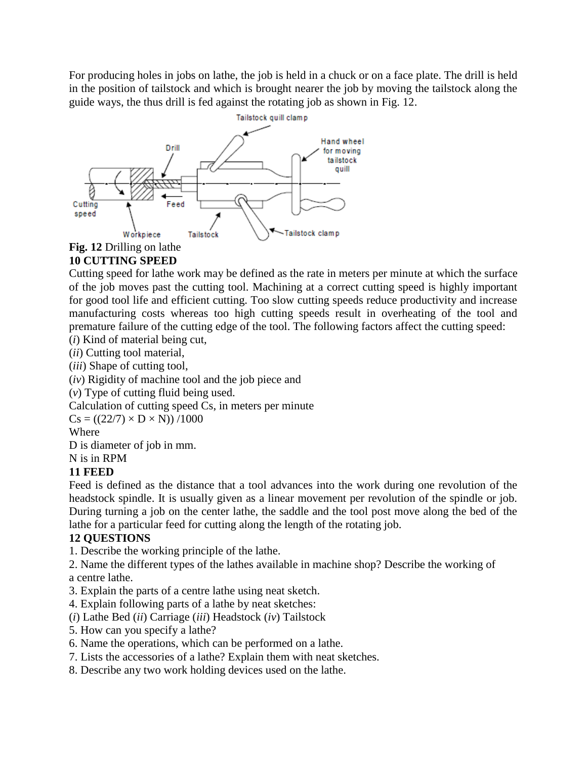For producing holes in jobs on lathe, the job is held in a chuck or on a face plate. The drill is held in the position of tailstock and which is brought nearer the job by moving the tailstock along the guide ways, the thus drill is fed against the rotating job as shown in Fig. 12.



# **10 CUTTING SPEED**

Cutting speed for lathe work may be defined as the rate in meters per minute at which the surface of the job moves past the cutting tool. Machining at a correct cutting speed is highly important for good tool life and efficient cutting. Too slow cutting speeds reduce productivity and increase manufacturing costs whereas too high cutting speeds result in overheating of the tool and premature failure of the cutting edge of the tool. The following factors affect the cutting speed:

(*i*) Kind of material being cut,

(*ii*) Cutting tool material,

(*iii*) Shape of cutting tool,

(*iv*) Rigidity of machine tool and the job piece and

(*v*) Type of cutting fluid being used.

Calculation of cutting speed Cs, in meters per minute

 $Cs = ((22/7) \times D \times N)/1000$ 

Where

D is diameter of job in mm.

N is in RPM

# **11 FEED**

Feed is defined as the distance that a tool advances into the work during one revolution of the headstock spindle. It is usually given as a linear movement per revolution of the spindle or job. During turning a job on the center lathe, the saddle and the tool post move along the bed of the lathe for a particular feed for cutting along the length of the rotating job.

#### **12 QUESTIONS**

1. Describe the working principle of the lathe.

2. Name the different types of the lathes available in machine shop? Describe the working of a centre lathe.

- 3. Explain the parts of a centre lathe using neat sketch.
- 4. Explain following parts of a lathe by neat sketches:
- (*i*) Lathe Bed (*ii*) Carriage (*iii*) Headstock (*iv*) Tailstock
- 5. How can you specify a lathe?
- 6. Name the operations, which can be performed on a lathe.
- 7. Lists the accessories of a lathe? Explain them with neat sketches.
- 8. Describe any two work holding devices used on the lathe.